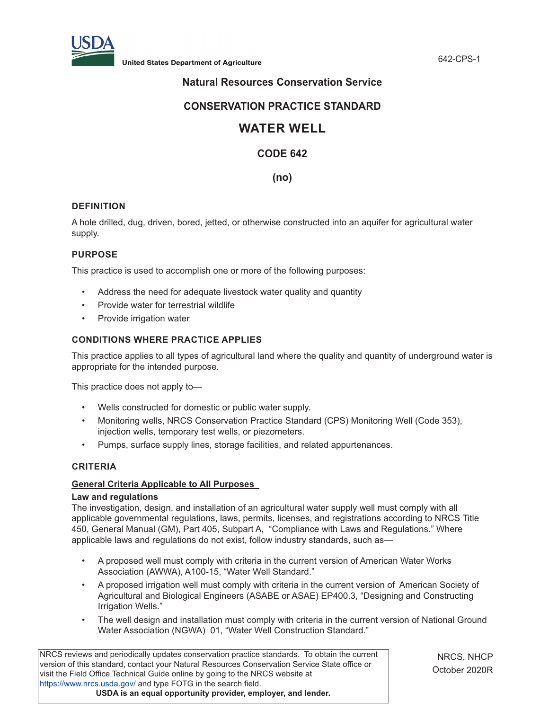

**United States Department of Agriculture** 642-CPS-1

# **Natural Resources Conservation Service**

# **CONSERVATION PRACTICE STANDARD**

# **WATER WELL**

# **CODE 642**

# **(no)**

# **DEFINITION**

A hole drilled, dug, driven, bored, jetted, or otherwise constructed into an aquifer for agricultural water supply.

# **PURPOSE**

This practice is used to accomplish one or more of the following purposes:

- Address the need for adequate livestock water quality and quantity
- Provide water for terrestrial wildlife
- Provide irrigation water

# **CONDITIONS WHERE PRACTICE APPLIES**

This practice applies to all types of agricultural land where the quality and quantity of underground water is appropriate for the intended purpose.

This practice does not apply to—

- Wells constructed for domestic or public water supply.
- Monitoring wells, NRCS Conservation Practice Standard (CPS) Monitoring Well (Code 353), injection wells, temporary test wells, or piezometers.
- Pumps, surface supply lines, storage facilities, and related appurtenances.

# **CRITERIA**

#### **General Criteria Applicable to All Purposes**

#### **Law and regulations**

The investigation, design, and installation of an agricultural water supply well must comply with all applicable governmental regulations, laws, permits, licenses, and registrations according to NRCS Title 450, General Manual (GM), Part 405, Subpart A, "Compliance with Laws and Regulations." Where applicable laws and regulations do not exist, follow industry standards, such as—

- A proposed well must comply with criteria in the current version of American Water Works Association (AWWA), A100-15, "Water Well Standard."
- A proposed irrigation well must comply with criteria in the current version of American Society of Agricultural and Biological Engineers (ASABE or ASAE) EP400.3, "Designing and Constructing Irrigation Wells."
- The well design and installation must comply with criteria in the current version of National Ground Water Association (NGWA) 01, "Water Well Construction Standard."

NRCS reviews and periodically updates conservation practice standards. To obtain the current version of this standard, contact your Natural Resources Conservation Service State office or visit the Field Office Technical Guide online by going to the NRCS website at <https://www.nrcs.usda.gov/>and type FOTG in the search field. **USDA is an equal opportunity provider, employer, and lender.**

NRCS, NHCP October 2020R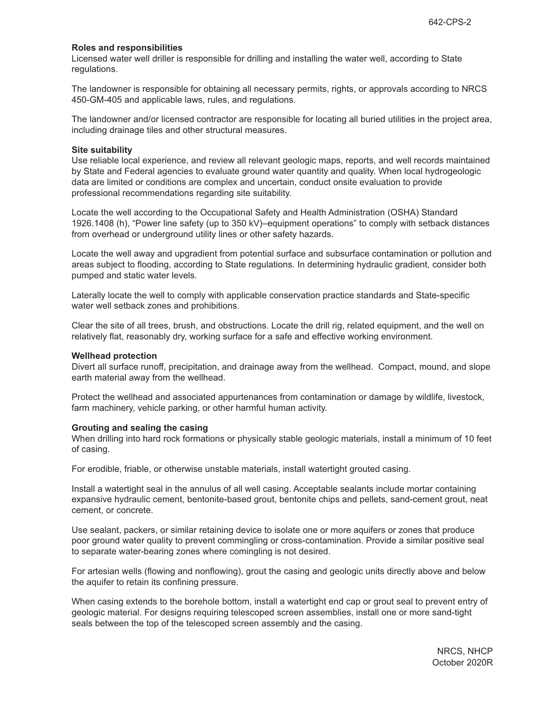#### **Roles and responsibilities**

Licensed water well driller is responsible for drilling and installing the water well, according to State regulations.

The landowner is responsible for obtaining all necessary permits, rights, or approvals according to NRCS 450-GM-405 and applicable laws, rules, and regulations.

The landowner and/or licensed contractor are responsible for locating all buried utilities in the project area, including drainage tiles and other structural measures.

#### **Site suitability**

Use reliable local experience, and review all relevant geologic maps, reports, and well records maintained by State and Federal agencies to evaluate ground water quantity and quality. When local hydrogeologic data are limited or conditions are complex and uncertain, conduct onsite evaluation to provide professional recommendations regarding site suitability.

Locate the well according to the Occupational Safety and Health Administration (OSHA) Standard 1926.1408 (h), "Power line safety (up to 350 kV)–equipment operations" to comply with setback distances from overhead or underground utility lines or other safety hazards.

Locate the well away and upgradient from potential surface and subsurface contamination or pollution and areas subject to flooding, according to State regulations. In determining hydraulic gradient, consider both pumped and static water levels.

Laterally locate the well to comply with applicable conservation practice standards and State-specific water well setback zones and prohibitions.

Clear the site of all trees, brush, and obstructions. Locate the drill rig, related equipment, and the well on relatively flat, reasonably dry, working surface for a safe and effective working environment.

#### **Wellhead protection**

Divert all surface runoff, precipitation, and drainage away from the wellhead. Compact, mound, and slope earth material away from the wellhead.

Protect the wellhead and associated appurtenances from contamination or damage by wildlife, livestock, farm machinery, vehicle parking, or other harmful human activity.

#### **Grouting and sealing the casing**

When drilling into hard rock formations or physically stable geologic materials, install a minimum of 10 feet of casing.

For erodible, friable, or otherwise unstable materials, install watertight grouted casing.

Install a watertight seal in the annulus of all well casing. Acceptable sealants include mortar containing expansive hydraulic cement, bentonite-based grout, bentonite chips and pellets, sand-cement grout, neat cement, or concrete.

Use sealant, packers, or similar retaining device to isolate one or more aquifers or zones that produce poor ground water quality to prevent commingling or cross-contamination. Provide a similar positive seal to separate water-bearing zones where comingling is not desired.

For artesian wells (flowing and nonflowing), grout the casing and geologic units directly above and below the aquifer to retain its confining pressure.

When casing extends to the borehole bottom, install a watertight end cap or grout seal to prevent entry of geologic material. For designs requiring telescoped screen assemblies, install one or more sand-tight seals between the top of the telescoped screen assembly and the casing.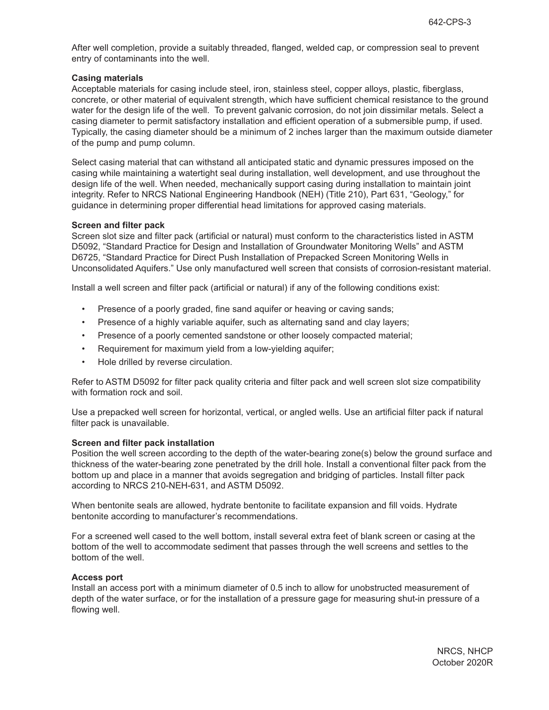After well completion, provide a suitably threaded, flanged, welded cap, or compression seal to prevent entry of contaminants into the well.

#### **Casing materials**

Acceptable materials for casing include steel, iron, stainless steel, copper alloys, plastic, fiberglass, concrete, or other material of equivalent strength, which have sufficient chemical resistance to the ground water for the design life of the well. To prevent galvanic corrosion, do not join dissimilar metals. Select a casing diameter to permit satisfactory installation and efficient operation of a submersible pump, if used. Typically, the casing diameter should be a minimum of 2 inches larger than the maximum outside diameter of the pump and pump column.

Select casing material that can withstand all anticipated static and dynamic pressures imposed on the casing while maintaining a watertight seal during installation, well development, and use throughout the design life of the well. When needed, mechanically support casing during installation to maintain joint integrity. Refer to NRCS National Engineering Handbook (NEH) (Title 210), Part 631, "Geology," for guidance in determining proper differential head limitations for approved casing materials.

#### **Screen and filter pack**

Screen slot size and filter pack (artificial or natural) must conform to the characteristics listed in ASTM D5092, "Standard Practice for Design and Installation of Groundwater Monitoring Wells" and ASTM D6725, "Standard Practice for Direct Push Installation of Prepacked Screen Monitoring Wells in Unconsolidated Aquifers." Use only manufactured well screen that consists of corrosion-resistant material.

Install a well screen and filter pack (artificial or natural) if any of the following conditions exist:

- Presence of a poorly graded, fine sand aquifer or heaving or caving sands;
- Presence of a highly variable aquifer, such as alternating sand and clay layers;
- Presence of a poorly cemented sandstone or other loosely compacted material;
- Requirement for maximum yield from a low-yielding aquifer;
- Hole drilled by reverse circulation.

Refer to ASTM D5092 for filter pack quality criteria and filter pack and well screen slot size compatibility with formation rock and soil.

Use a prepacked well screen for horizontal, vertical, or angled wells. Use an artificial filter pack if natural filter pack is unavailable.

#### **Screen and filter pack installation**

Position the well screen according to the depth of the water-bearing zone(s) below the ground surface and thickness of the water-bearing zone penetrated by the drill hole. Install a conventional filter pack from the bottom up and place in a manner that avoids segregation and bridging of particles. Install filter pack according to NRCS 210-NEH-631, and ASTM D5092.

When bentonite seals are allowed, hydrate bentonite to facilitate expansion and fill voids. Hydrate bentonite according to manufacturer's recommendations.

For a screened well cased to the well bottom, install several extra feet of blank screen or casing at the bottom of the well to accommodate sediment that passes through the well screens and settles to the bottom of the well.

#### **Access port**

Install an access port with a minimum diameter of 0.5 inch to allow for unobstructed measurement of depth of the water surface, or for the installation of a pressure gage for measuring shut-in pressure of a flowing well.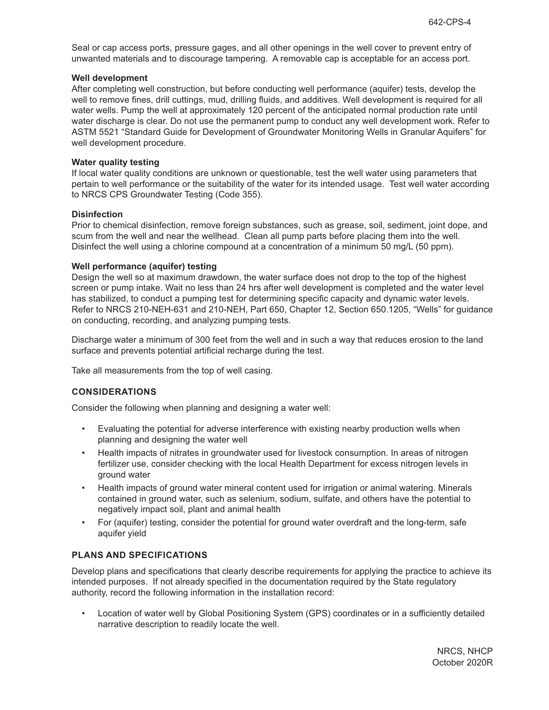Seal or cap access ports, pressure gages, and all other openings in the well cover to prevent entry of unwanted materials and to discourage tampering. A removable cap is acceptable for an access port.

#### **Well development**

After completing well construction, but before conducting well performance (aquifer) tests, develop the well to remove fines, drill cuttings, mud, drilling fluids, and additives. Well development is required for all water wells. Pump the well at approximately 120 percent of the anticipated normal production rate until water discharge is clear. Do not use the permanent pump to conduct any well development work. Refer to ASTM 5521 "Standard Guide for Development of Groundwater Monitoring Wells in Granular Aquifers" for well development procedure.

#### **Water quality testing**

If local water quality conditions are unknown or questionable, test the well water using parameters that pertain to well performance or the suitability of the water for its intended usage. Test well water according to NRCS CPS Groundwater Testing (Code 355).

#### **Disinfection**

Prior to chemical disinfection, remove foreign substances, such as grease, soil, sediment, joint dope, and scum from the well and near the wellhead. Clean all pump parts before placing them into the well. Disinfect the well using a chlorine compound at a concentration of a minimum 50 mg/L (50 ppm).

#### **Well performance (aquifer) testing**

Design the well so at maximum drawdown, the water surface does not drop to the top of the highest screen or pump intake. Wait no less than 24 hrs after well development is completed and the water level has stabilized, to conduct a pumping test for determining specific capacity and dynamic water levels. Refer to NRCS 210-NEH-631 and 210-NEH, Part 650, Chapter 12, Section 650.1205, "Wells" for guidance on conducting, recording, and analyzing pumping tests.

Discharge water a minimum of 300 feet from the well and in such a way that reduces erosion to the land surface and prevents potential artificial recharge during the test.

Take all measurements from the top of well casing.

#### **CONSIDERATIONS**

Consider the following when planning and designing a water well:

- Evaluating the potential for adverse interference with existing nearby production wells when planning and designing the water well
- Health impacts of nitrates in groundwater used for livestock consumption. In areas of nitrogen fertilizer use, consider checking with the local Health Department for excess nitrogen levels in ground water
- Health impacts of ground water mineral content used for irrigation or animal watering. Minerals contained in ground water, such as selenium, sodium, sulfate, and others have the potential to negatively impact soil, plant and animal health
- For (aquifer) testing, consider the potential for ground water overdraft and the long-term, safe aquifer yield

#### **PLANS AND SPECIFICATIONS**

Develop plans and specifications that clearly describe requirements for applying the practice to achieve its intended purposes. If not already specified in the documentation required by the State regulatory authority, record the following information in the installation record:

• Location of water well by Global Positioning System (GPS) coordinates or in a sufficiently detailed narrative description to readily locate the well.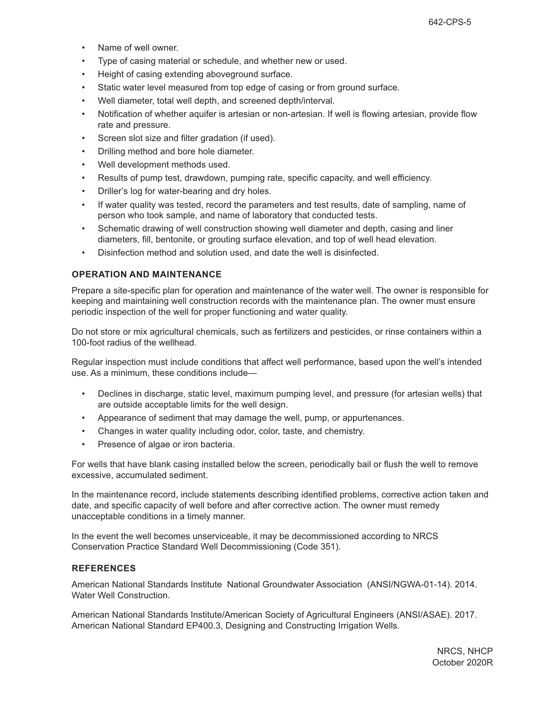- Name of well owner.
- Type of casing material or schedule, and whether new or used.
- Height of casing extending aboveground surface.
- Static water level measured from top edge of casing or from ground surface.
- Well diameter, total well depth, and screened depth/interval.
- Notification of whether aquifer is artesian or non-artesian. If well is flowing artesian, provide flow rate and pressure.
- Screen slot size and filter gradation (if used).
- Drilling method and bore hole diameter.
- Well development methods used.
- Results of pump test, drawdown, pumping rate, specific capacity, and well efficiency.
- Driller's log for water-bearing and dry holes.
- If water quality was tested, record the parameters and test results, date of sampling, name of person who took sample, and name of laboratory that conducted tests.
- Schematic drawing of well construction showing well diameter and depth, casing and liner diameters, fill, bentonite, or grouting surface elevation, and top of well head elevation.
- Disinfection method and solution used, and date the well is disinfected.

### **OPERATION AND MAINTENANCE**

Prepare a site-specific plan for operation and maintenance of the water well. The owner is responsible for keeping and maintaining well construction records with the maintenance plan. The owner must ensure periodic inspection of the well for proper functioning and water quality.

Do not store or mix agricultural chemicals, such as fertilizers and pesticides, or rinse containers within a 100-foot radius of the wellhead.

Regular inspection must include conditions that affect well performance, based upon the well's intended use. As a minimum, these conditions include—

- Declines in discharge, static level, maximum pumping level, and pressure (for artesian wells) that are outside acceptable limits for the well design.
- Appearance of sediment that may damage the well, pump, or appurtenances.
- Changes in water quality including odor, color, taste, and chemistry.
- Presence of algae or iron bacteria.

For wells that have blank casing installed below the screen, periodically bail or flush the well to remove excessive, accumulated sediment.

In the maintenance record, include statements describing identified problems, corrective action taken and date, and specific capacity of well before and after corrective action. The owner must remedy unacceptable conditions in a timely manner.

In the event the well becomes unserviceable, it may be decommissioned according to NRCS Conservation Practice Standard Well Decommissioning (Code 351).

#### **REFERENCES**

American National Standards Institute National Groundwater Association (ANSI/NGWA-01-14). 2014. Water Well Construction.

American National Standards Institute/American Society of Agricultural Engineers (ANSI/ASAE). 2017. American National Standard EP400.3, Designing and Constructing Irrigation Wells.